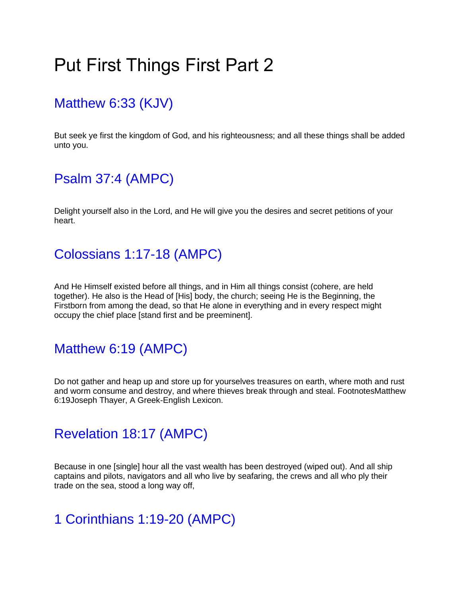# Put First Things First Part 2

# [Matthew 6:33 \(KJV\)](https://www.biblegateway.com/passage/?search=Matthew%206%3A33&version=KJV)

But seek ye first the kingdom of God, and his righteousness; and all these things shall be added unto you.

### [Psalm 37:4 \(AMPC\)](https://www.biblegateway.com/passage/?search=Psalm%2037%3A4&version=AMPC)

Delight yourself also in the Lord, and He will give you the desires and secret petitions of your heart.

#### [Colossians 1:17-18 \(AMPC\)](https://www.biblegateway.com/passage/?search=Colossians%201%3A17-18&version=AMPC)

And He Himself existed before all things, and in Him all things consist (cohere, are held together). He also is the Head of [His] body, the church; seeing He is the Beginning, the Firstborn from among the dead, so that He alone in everything and in every respect might occupy the chief place [stand first and be preeminent].

#### [Matthew 6:19 \(AMPC\)](https://www.biblegateway.com/passage/?search=Matthew%206%3A19&version=AMPC)

Do not gather and heap up and store up for yourselves treasures on earth, where moth and rust and worm consume and destroy, and where thieves break through and steal. FootnotesMatthew 6:19Joseph Thayer, A Greek-English Lexicon.

#### [Revelation 18:17 \(AMPC\)](https://www.biblegateway.com/passage/?search=Revelation%2018%3A17&version=AMPC)

Because in one [single] hour all the vast wealth has been destroyed (wiped out). And all ship captains and pilots, navigators and all who live by seafaring, the crews and all who ply their trade on the sea, stood a long way off,

#### [1 Corinthians 1:19-20 \(AMPC\)](https://www.biblegateway.com/passage/?search=1%20Corinthians%201%3A19-20&version=AMPC)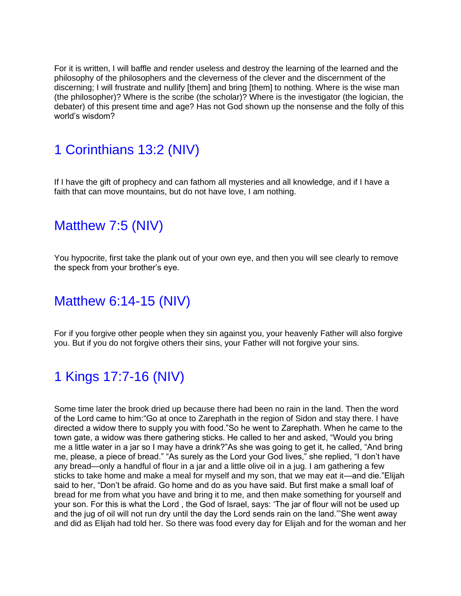For it is written, I will baffle and render useless and destroy the learning of the learned and the philosophy of the philosophers and the cleverness of the clever and the discernment of the discerning; I will frustrate and nullify [them] and bring [them] to nothing. Where is the wise man (the philosopher)? Where is the scribe (the scholar)? Where is the investigator (the logician, the debater) of this present time and age? Has not God shown up the nonsense and the folly of this world's wisdom?

#### [1 Corinthians 13:2 \(NIV\)](https://www.biblegateway.com/passage/?search=1%20Corinthians%2013%3A2&version=NIV)

If I have the gift of prophecy and can fathom all mysteries and all knowledge, and if I have a faith that can move mountains, but do not have love, I am nothing.

#### [Matthew 7:5 \(NIV\)](https://www.biblegateway.com/passage/?search=Matthew%207%3A5&version=NIV)

You hypocrite, first take the plank out of your own eye, and then you will see clearly to remove the speck from your brother's eye.

#### [Matthew 6:14-15 \(NIV\)](https://www.biblegateway.com/passage/?search=Matthew%206%3A14-15&version=NIV)

For if you forgive other people when they sin against you, your heavenly Father will also forgive you. But if you do not forgive others their sins, your Father will not forgive your sins.

# [1 Kings 17:7-16 \(NIV\)](https://www.biblegateway.com/passage/?search=1%20Kings%2017%3A7-16&version=NIV)

Some time later the brook dried up because there had been no rain in the land. Then the word of the Lord came to him:"Go at once to Zarephath in the region of Sidon and stay there. I have directed a widow there to supply you with food."So he went to Zarephath. When he came to the town gate, a widow was there gathering sticks. He called to her and asked, "Would you bring me a little water in a jar so I may have a drink?"As she was going to get it, he called, "And bring me, please, a piece of bread." "As surely as the Lord your God lives," she replied, "I don't have any bread—only a handful of flour in a jar and a little olive oil in a jug. I am gathering a few sticks to take home and make a meal for myself and my son, that we may eat it—and die."Elijah said to her, "Don't be afraid. Go home and do as you have said. But first make a small loaf of bread for me from what you have and bring it to me, and then make something for yourself and your son. For this is what the Lord , the God of Israel, says: 'The jar of flour will not be used up and the jug of oil will not run dry until the day the Lord sends rain on the land.'"She went away and did as Elijah had told her. So there was food every day for Elijah and for the woman and her